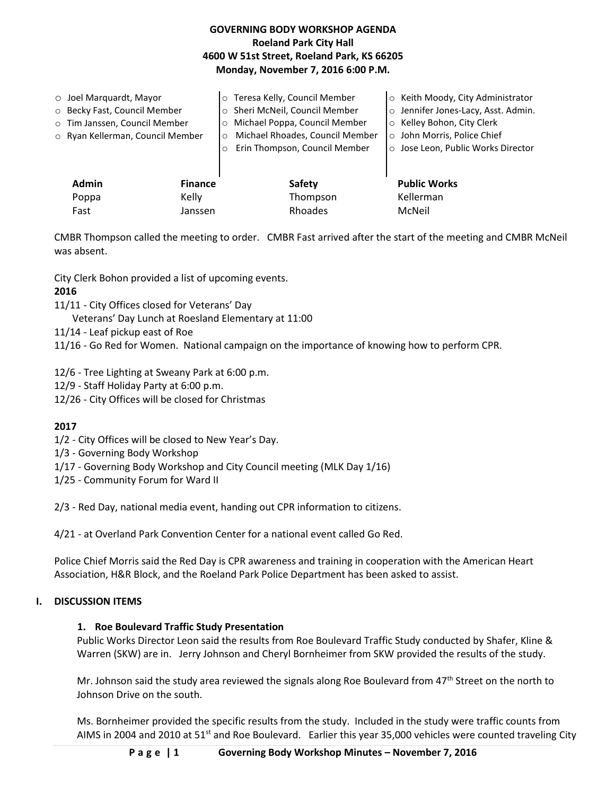## **GOVERNING BODY WORKSHOP AGENDA Roeland Park City Hall 4600 W 51st Street, Roeland Park, KS 66205 Monday, November 7, 2016 6:00 P.M.**

| $\circ$ Joel Marguardt, Mayor<br>o Becky Fast, Council Member<br>o Tim Janssen, Council Member<br>o Ryan Kellerman, Council Member |                | o Teresa Kelly, Council Member<br>Sheri McNeil, Council Member<br>$\circ$<br>Michael Poppa, Council Member<br>$\circ$<br>Michael Rhoades, Council Member<br>$\Omega$<br>Erin Thompson, Council Member | Keith Moody, City Administrator<br>$\circ$<br>Jennifer Jones-Lacy, Asst. Admin.<br>$\circ$<br>Kelley Bohon, City Clerk<br>$\circ$<br>John Morris, Police Chief<br>$\circ$<br>o Jose Leon, Public Works Director |
|------------------------------------------------------------------------------------------------------------------------------------|----------------|-------------------------------------------------------------------------------------------------------------------------------------------------------------------------------------------------------|-----------------------------------------------------------------------------------------------------------------------------------------------------------------------------------------------------------------|
| <b>Admin</b>                                                                                                                       | <b>Finance</b> | Safety                                                                                                                                                                                                | <b>Public Works</b>                                                                                                                                                                                             |
| Poppa                                                                                                                              | Kelly          | Thompson                                                                                                                                                                                              | Kellerman                                                                                                                                                                                                       |
| Fast                                                                                                                               | Janssen        | Rhoades                                                                                                                                                                                               | McNeil                                                                                                                                                                                                          |

CMBR Thompson called the meeting to order. CMBR Fast arrived after the start of the meeting and CMBR McNeil was absent.

City Clerk Bohon provided a list of upcoming events.

## **2016**

11/11 - City Offices closed for Veterans' Day

Veterans' Day Lunch at Roesland Elementary at 11:00

- 11/14 Leaf pickup east of Roe
- 11/16 Go Red for Women. National campaign on the importance of knowing how to perform CPR.

12/6 - Tree Lighting at Sweany Park at 6:00 p.m.

- 12/9 Staff Holiday Party at 6:00 p.m.
- 12/26 City Offices will be closed for Christmas

#### **2017**

- 1/2 City Offices will be closed to New Year's Day.
- 1/3 Governing Body Workshop
- 1/17 Governing Body Workshop and City Council meeting (MLK Day 1/16)
- 1/25 Community Forum for Ward II

2/3 - Red Day, national media event, handing out CPR information to citizens.

4/21 - at Overland Park Convention Center for a national event called Go Red.

Police Chief Morris said the Red Day is CPR awareness and training in cooperation with the American Heart Association, H&R Block, and the Roeland Park Police Department has been asked to assist.

## **I. DISCUSSION ITEMS**

#### **1. Roe Boulevard Traffic Study Presentation**

Public Works Director Leon said the results from Roe Boulevard Traffic Study conducted by Shafer, Kline & Warren (SKW) are in. Jerry Johnson and Cheryl Bornheimer from SKW provided the results of the study.

Mr. Johnson said the study area reviewed the signals along Roe Boulevard from  $47<sup>th</sup>$  Street on the north to Johnson Drive on the south.

Ms. Bornheimer provided the specific results from the study. Included in the study were traffic counts from AIMS in 2004 and 2010 at 51st and Roe Boulevard. Earlier this year 35,000 vehicles were counted traveling City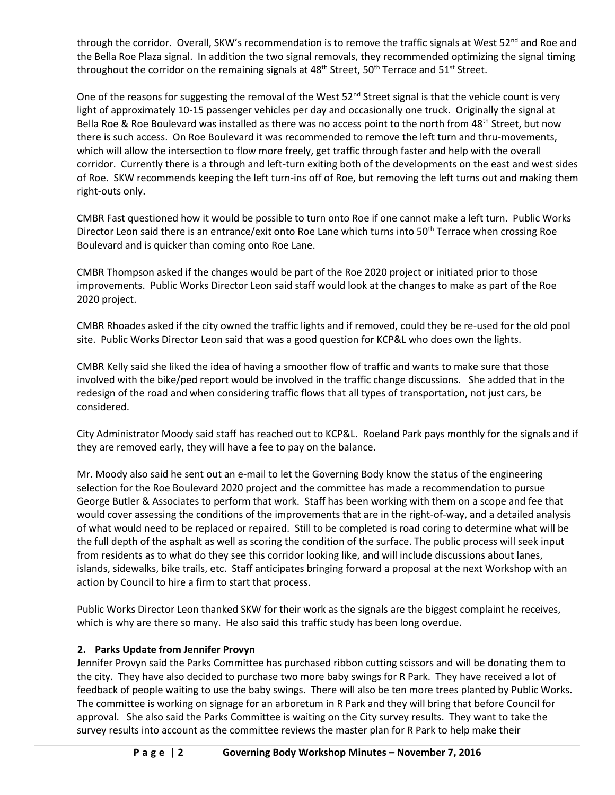through the corridor. Overall, SKW's recommendation is to remove the traffic signals at West  $52^{nd}$  and Roe and the Bella Roe Plaza signal. In addition the two signal removals, they recommended optimizing the signal timing throughout the corridor on the remaining signals at 48<sup>th</sup> Street, 50<sup>th</sup> Terrace and 51<sup>st</sup> Street.

One of the reasons for suggesting the removal of the West  $52^{nd}$  Street signal is that the vehicle count is very light of approximately 10-15 passenger vehicles per day and occasionally one truck. Originally the signal at Bella Roe & Roe Boulevard was installed as there was no access point to the north from 48<sup>th</sup> Street, but now there is such access. On Roe Boulevard it was recommended to remove the left turn and thru-movements, which will allow the intersection to flow more freely, get traffic through faster and help with the overall corridor. Currently there is a through and left-turn exiting both of the developments on the east and west sides of Roe. SKW recommends keeping the left turn-ins off of Roe, but removing the left turns out and making them right-outs only.

CMBR Fast questioned how it would be possible to turn onto Roe if one cannot make a left turn. Public Works Director Leon said there is an entrance/exit onto Roe Lane which turns into 50<sup>th</sup> Terrace when crossing Roe Boulevard and is quicker than coming onto Roe Lane.

CMBR Thompson asked if the changes would be part of the Roe 2020 project or initiated prior to those improvements. Public Works Director Leon said staff would look at the changes to make as part of the Roe 2020 project.

CMBR Rhoades asked if the city owned the traffic lights and if removed, could they be re-used for the old pool site. Public Works Director Leon said that was a good question for KCP&L who does own the lights.

CMBR Kelly said she liked the idea of having a smoother flow of traffic and wants to make sure that those involved with the bike/ped report would be involved in the traffic change discussions. She added that in the redesign of the road and when considering traffic flows that all types of transportation, not just cars, be considered.

City Administrator Moody said staff has reached out to KCP&L. Roeland Park pays monthly for the signals and if they are removed early, they will have a fee to pay on the balance.

Mr. Moody also said he sent out an e-mail to let the Governing Body know the status of the engineering selection for the Roe Boulevard 2020 project and the committee has made a recommendation to pursue George Butler & Associates to perform that work. Staff has been working with them on a scope and fee that would cover assessing the conditions of the improvements that are in the right-of-way, and a detailed analysis of what would need to be replaced or repaired. Still to be completed is road coring to determine what will be the full depth of the asphalt as well as scoring the condition of the surface. The public process will seek input from residents as to what do they see this corridor looking like, and will include discussions about lanes, islands, sidewalks, bike trails, etc. Staff anticipates bringing forward a proposal at the next Workshop with an action by Council to hire a firm to start that process.

Public Works Director Leon thanked SKW for their work as the signals are the biggest complaint he receives, which is why are there so many. He also said this traffic study has been long overdue.

## **2. Parks Update from Jennifer Provyn**

Jennifer Provyn said the Parks Committee has purchased ribbon cutting scissors and will be donating them to the city. They have also decided to purchase two more baby swings for R Park. They have received a lot of feedback of people waiting to use the baby swings. There will also be ten more trees planted by Public Works. The committee is working on signage for an arboretum in R Park and they will bring that before Council for approval. She also said the Parks Committee is waiting on the City survey results. They want to take the survey results into account as the committee reviews the master plan for R Park to help make their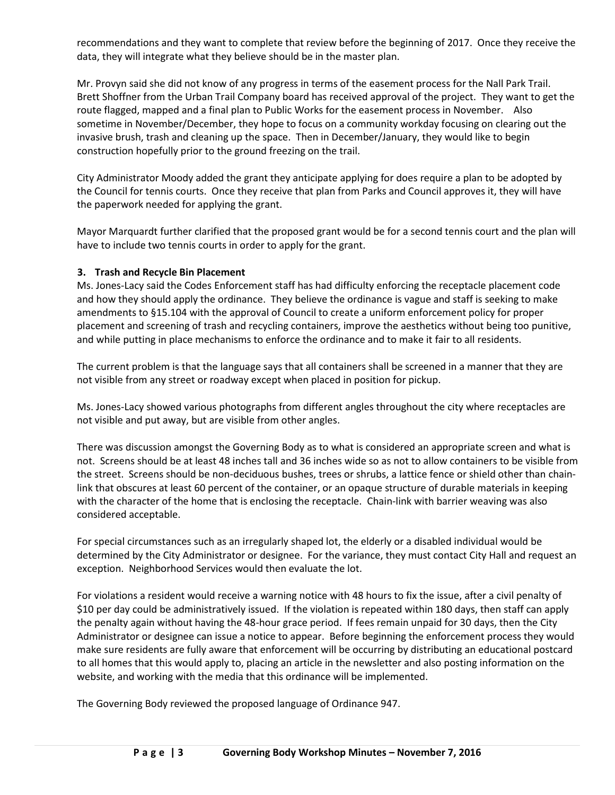recommendations and they want to complete that review before the beginning of 2017. Once they receive the data, they will integrate what they believe should be in the master plan.

Mr. Provyn said she did not know of any progress in terms of the easement process for the Nall Park Trail. Brett Shoffner from the Urban Trail Company board has received approval of the project. They want to get the route flagged, mapped and a final plan to Public Works for the easement process in November. Also sometime in November/December, they hope to focus on a community workday focusing on clearing out the invasive brush, trash and cleaning up the space. Then in December/January, they would like to begin construction hopefully prior to the ground freezing on the trail.

City Administrator Moody added the grant they anticipate applying for does require a plan to be adopted by the Council for tennis courts. Once they receive that plan from Parks and Council approves it, they will have the paperwork needed for applying the grant.

Mayor Marquardt further clarified that the proposed grant would be for a second tennis court and the plan will have to include two tennis courts in order to apply for the grant.

#### **3. Trash and Recycle Bin Placement**

Ms. Jones-Lacy said the Codes Enforcement staff has had difficulty enforcing the receptacle placement code and how they should apply the ordinance. They believe the ordinance is vague and staff is seeking to make amendments to §15.104 with the approval of Council to create a uniform enforcement policy for proper placement and screening of trash and recycling containers, improve the aesthetics without being too punitive, and while putting in place mechanisms to enforce the ordinance and to make it fair to all residents.

The current problem is that the language says that all containers shall be screened in a manner that they are not visible from any street or roadway except when placed in position for pickup.

Ms. Jones-Lacy showed various photographs from different angles throughout the city where receptacles are not visible and put away, but are visible from other angles.

There was discussion amongst the Governing Body as to what is considered an appropriate screen and what is not. Screens should be at least 48 inches tall and 36 inches wide so as not to allow containers to be visible from the street. Screens should be non-deciduous bushes, trees or shrubs, a lattice fence or shield other than chainlink that obscures at least 60 percent of the container, or an opaque structure of durable materials in keeping with the character of the home that is enclosing the receptacle. Chain-link with barrier weaving was also considered acceptable.

For special circumstances such as an irregularly shaped lot, the elderly or a disabled individual would be determined by the City Administrator or designee. For the variance, they must contact City Hall and request an exception. Neighborhood Services would then evaluate the lot.

For violations a resident would receive a warning notice with 48 hours to fix the issue, after a civil penalty of \$10 per day could be administratively issued. If the violation is repeated within 180 days, then staff can apply the penalty again without having the 48-hour grace period. If fees remain unpaid for 30 days, then the City Administrator or designee can issue a notice to appear. Before beginning the enforcement process they would make sure residents are fully aware that enforcement will be occurring by distributing an educational postcard to all homes that this would apply to, placing an article in the newsletter and also posting information on the website, and working with the media that this ordinance will be implemented.

The Governing Body reviewed the proposed language of Ordinance 947.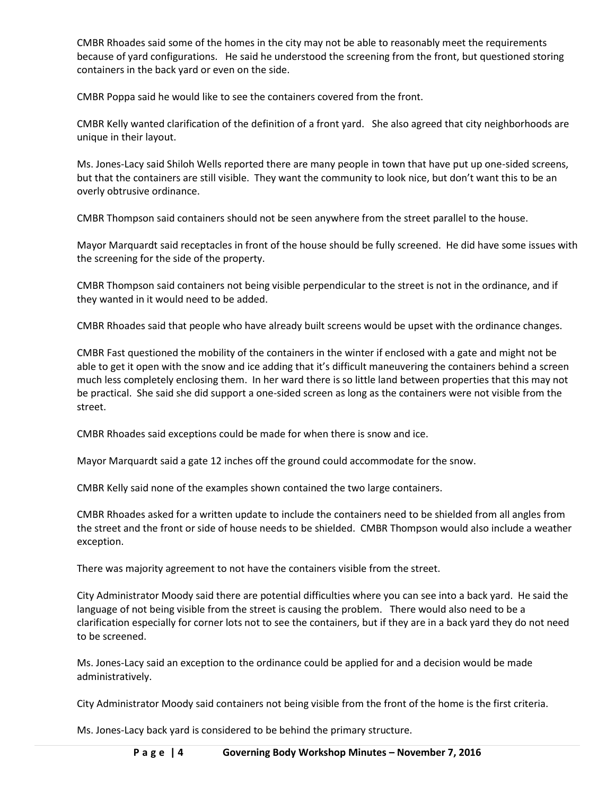CMBR Rhoades said some of the homes in the city may not be able to reasonably meet the requirements because of yard configurations. He said he understood the screening from the front, but questioned storing containers in the back yard or even on the side.

CMBR Poppa said he would like to see the containers covered from the front.

CMBR Kelly wanted clarification of the definition of a front yard. She also agreed that city neighborhoods are unique in their layout.

Ms. Jones-Lacy said Shiloh Wells reported there are many people in town that have put up one-sided screens, but that the containers are still visible. They want the community to look nice, but don't want this to be an overly obtrusive ordinance.

CMBR Thompson said containers should not be seen anywhere from the street parallel to the house.

Mayor Marquardt said receptacles in front of the house should be fully screened. He did have some issues with the screening for the side of the property.

CMBR Thompson said containers not being visible perpendicular to the street is not in the ordinance, and if they wanted in it would need to be added.

CMBR Rhoades said that people who have already built screens would be upset with the ordinance changes.

CMBR Fast questioned the mobility of the containers in the winter if enclosed with a gate and might not be able to get it open with the snow and ice adding that it's difficult maneuvering the containers behind a screen much less completely enclosing them. In her ward there is so little land between properties that this may not be practical. She said she did support a one-sided screen as long as the containers were not visible from the street.

CMBR Rhoades said exceptions could be made for when there is snow and ice.

Mayor Marquardt said a gate 12 inches off the ground could accommodate for the snow.

CMBR Kelly said none of the examples shown contained the two large containers.

CMBR Rhoades asked for a written update to include the containers need to be shielded from all angles from the street and the front or side of house needs to be shielded. CMBR Thompson would also include a weather exception.

There was majority agreement to not have the containers visible from the street.

City Administrator Moody said there are potential difficulties where you can see into a back yard. He said the language of not being visible from the street is causing the problem. There would also need to be a clarification especially for corner lots not to see the containers, but if they are in a back yard they do not need to be screened.

Ms. Jones-Lacy said an exception to the ordinance could be applied for and a decision would be made administratively.

City Administrator Moody said containers not being visible from the front of the home is the first criteria.

Ms. Jones-Lacy back yard is considered to be behind the primary structure.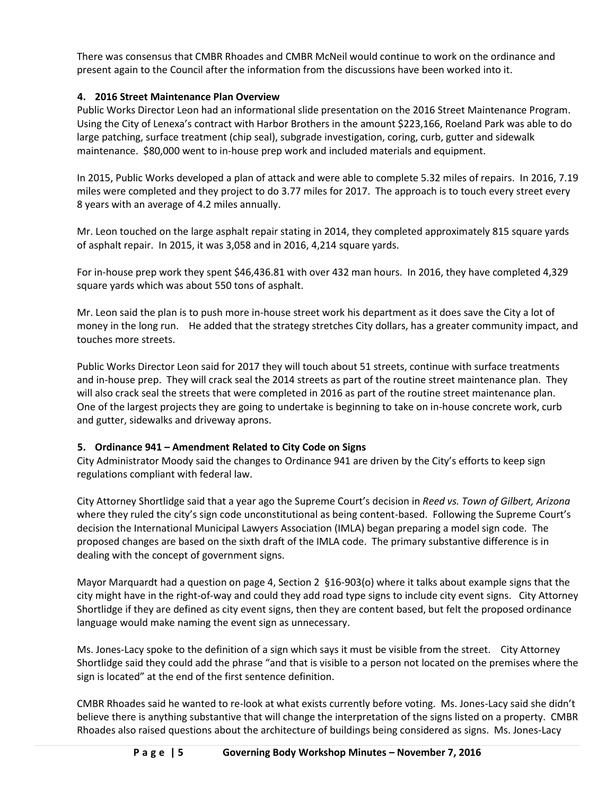There was consensus that CMBR Rhoades and CMBR McNeil would continue to work on the ordinance and present again to the Council after the information from the discussions have been worked into it.

# **4. 2016 Street Maintenance Plan Overview**

Public Works Director Leon had an informational slide presentation on the 2016 Street Maintenance Program. Using the City of Lenexa's contract with Harbor Brothers in the amount \$223,166, Roeland Park was able to do large patching, surface treatment (chip seal), subgrade investigation, coring, curb, gutter and sidewalk maintenance. \$80,000 went to in-house prep work and included materials and equipment.

In 2015, Public Works developed a plan of attack and were able to complete 5.32 miles of repairs. In 2016, 7.19 miles were completed and they project to do 3.77 miles for 2017. The approach is to touch every street every 8 years with an average of 4.2 miles annually.

Mr. Leon touched on the large asphalt repair stating in 2014, they completed approximately 815 square yards of asphalt repair. In 2015, it was 3,058 and in 2016, 4,214 square yards.

For in-house prep work they spent \$46,436.81 with over 432 man hours. In 2016, they have completed 4,329 square yards which was about 550 tons of asphalt.

Mr. Leon said the plan is to push more in-house street work his department as it does save the City a lot of money in the long run. He added that the strategy stretches City dollars, has a greater community impact, and touches more streets.

Public Works Director Leon said for 2017 they will touch about 51 streets, continue with surface treatments and in-house prep. They will crack seal the 2014 streets as part of the routine street maintenance plan. They will also crack seal the streets that were completed in 2016 as part of the routine street maintenance plan. One of the largest projects they are going to undertake is beginning to take on in-house concrete work, curb and gutter, sidewalks and driveway aprons.

## **5. Ordinance 941 – Amendment Related to City Code on Signs**

City Administrator Moody said the changes to Ordinance 941 are driven by the City's efforts to keep sign regulations compliant with federal law.

City Attorney Shortlidge said that a year ago the Supreme Court's decision in *Reed vs. Town of Gilbert, Arizona*  where they ruled the city's sign code unconstitutional as being content-based. Following the Supreme Court's decision the International Municipal Lawyers Association (IMLA) began preparing a model sign code. The proposed changes are based on the sixth draft of the IMLA code. The primary substantive difference is in dealing with the concept of government signs.

Mayor Marquardt had a question on page 4, Section 2 §16-903(o) where it talks about example signs that the city might have in the right-of-way and could they add road type signs to include city event signs. City Attorney Shortlidge if they are defined as city event signs, then they are content based, but felt the proposed ordinance language would make naming the event sign as unnecessary.

Ms. Jones-Lacy spoke to the definition of a sign which says it must be visible from the street. City Attorney Shortlidge said they could add the phrase "and that is visible to a person not located on the premises where the sign is located" at the end of the first sentence definition.

CMBR Rhoades said he wanted to re-look at what exists currently before voting. Ms. Jones-Lacy said she didn't believe there is anything substantive that will change the interpretation of the signs listed on a property. CMBR Rhoades also raised questions about the architecture of buildings being considered as signs. Ms. Jones-Lacy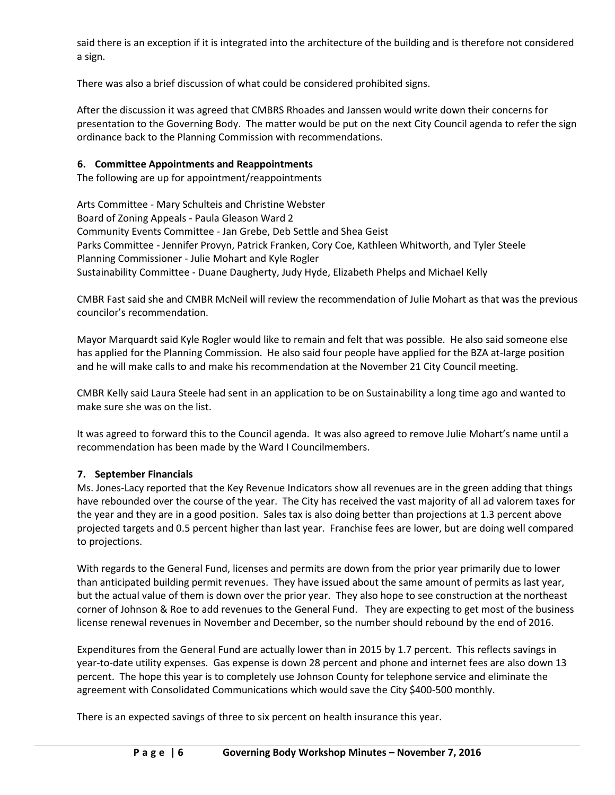said there is an exception if it is integrated into the architecture of the building and is therefore not considered a sign.

There was also a brief discussion of what could be considered prohibited signs.

After the discussion it was agreed that CMBRS Rhoades and Janssen would write down their concerns for presentation to the Governing Body. The matter would be put on the next City Council agenda to refer the sign ordinance back to the Planning Commission with recommendations.

#### **6. Committee Appointments and Reappointments**

The following are up for appointment/reappointments

Arts Committee - Mary Schulteis and Christine Webster Board of Zoning Appeals - Paula Gleason Ward 2 Community Events Committee - Jan Grebe, Deb Settle and Shea Geist Parks Committee - Jennifer Provyn, Patrick Franken, Cory Coe, Kathleen Whitworth, and Tyler Steele Planning Commissioner - Julie Mohart and Kyle Rogler Sustainability Committee - Duane Daugherty, Judy Hyde, Elizabeth Phelps and Michael Kelly

CMBR Fast said she and CMBR McNeil will review the recommendation of Julie Mohart as that was the previous councilor's recommendation.

Mayor Marquardt said Kyle Rogler would like to remain and felt that was possible. He also said someone else has applied for the Planning Commission. He also said four people have applied for the BZA at-large position and he will make calls to and make his recommendation at the November 21 City Council meeting.

CMBR Kelly said Laura Steele had sent in an application to be on Sustainability a long time ago and wanted to make sure she was on the list.

It was agreed to forward this to the Council agenda. It was also agreed to remove Julie Mohart's name until a recommendation has been made by the Ward I Councilmembers.

#### **7. September Financials**

Ms. Jones-Lacy reported that the Key Revenue Indicators show all revenues are in the green adding that things have rebounded over the course of the year. The City has received the vast majority of all ad valorem taxes for the year and they are in a good position. Sales tax is also doing better than projections at 1.3 percent above projected targets and 0.5 percent higher than last year. Franchise fees are lower, but are doing well compared to projections.

With regards to the General Fund, licenses and permits are down from the prior year primarily due to lower than anticipated building permit revenues. They have issued about the same amount of permits as last year, but the actual value of them is down over the prior year. They also hope to see construction at the northeast corner of Johnson & Roe to add revenues to the General Fund. They are expecting to get most of the business license renewal revenues in November and December, so the number should rebound by the end of 2016.

Expenditures from the General Fund are actually lower than in 2015 by 1.7 percent. This reflects savings in year-to-date utility expenses. Gas expense is down 28 percent and phone and internet fees are also down 13 percent. The hope this year is to completely use Johnson County for telephone service and eliminate the agreement with Consolidated Communications which would save the City \$400-500 monthly.

There is an expected savings of three to six percent on health insurance this year.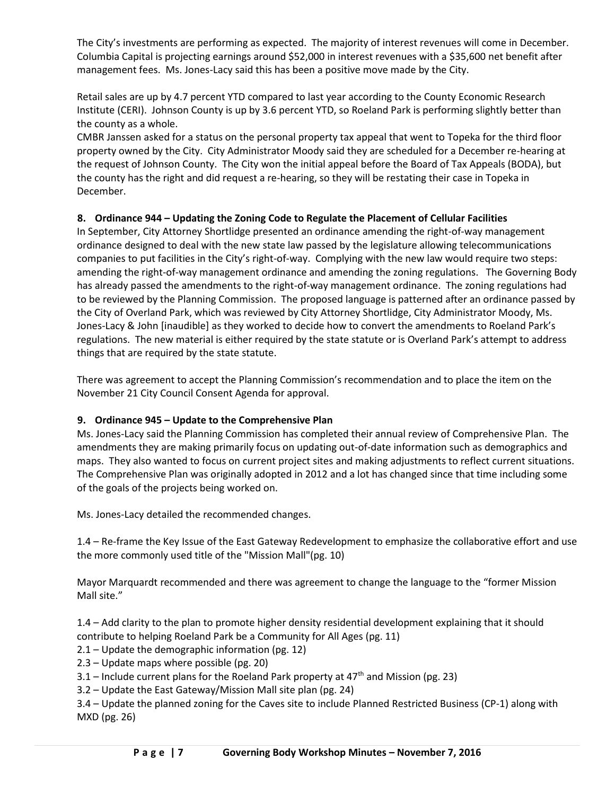The City's investments are performing as expected. The majority of interest revenues will come in December. Columbia Capital is projecting earnings around \$52,000 in interest revenues with a \$35,600 net benefit after management fees. Ms. Jones-Lacy said this has been a positive move made by the City.

Retail sales are up by 4.7 percent YTD compared to last year according to the County Economic Research Institute (CERI). Johnson County is up by 3.6 percent YTD, so Roeland Park is performing slightly better than the county as a whole.

CMBR Janssen asked for a status on the personal property tax appeal that went to Topeka for the third floor property owned by the City. City Administrator Moody said they are scheduled for a December re-hearing at the request of Johnson County. The City won the initial appeal before the Board of Tax Appeals (BODA), but the county has the right and did request a re-hearing, so they will be restating their case in Topeka in December.

# **8. Ordinance 944 – Updating the Zoning Code to Regulate the Placement of Cellular Facilities**

In September, City Attorney Shortlidge presented an ordinance amending the right-of-way management ordinance designed to deal with the new state law passed by the legislature allowing telecommunications companies to put facilities in the City's right-of-way. Complying with the new law would require two steps: amending the right-of-way management ordinance and amending the zoning regulations. The Governing Body has already passed the amendments to the right-of-way management ordinance. The zoning regulations had to be reviewed by the Planning Commission. The proposed language is patterned after an ordinance passed by the City of Overland Park, which was reviewed by City Attorney Shortlidge, City Administrator Moody, Ms. Jones-Lacy & John [inaudible] as they worked to decide how to convert the amendments to Roeland Park's regulations. The new material is either required by the state statute or is Overland Park's attempt to address things that are required by the state statute.

There was agreement to accept the Planning Commission's recommendation and to place the item on the November 21 City Council Consent Agenda for approval.

## **9. Ordinance 945 – Update to the Comprehensive Plan**

Ms. Jones-Lacy said the Planning Commission has completed their annual review of Comprehensive Plan. The amendments they are making primarily focus on updating out-of-date information such as demographics and maps. They also wanted to focus on current project sites and making adjustments to reflect current situations. The Comprehensive Plan was originally adopted in 2012 and a lot has changed since that time including some of the goals of the projects being worked on.

Ms. Jones-Lacy detailed the recommended changes.

1.4 – Re-frame the Key Issue of the East Gateway Redevelopment to emphasize the collaborative effort and use the more commonly used title of the "Mission Mall"(pg. 10)

Mayor Marquardt recommended and there was agreement to change the language to the "former Mission Mall site."

1.4 – Add clarity to the plan to promote higher density residential development explaining that it should contribute to helping Roeland Park be a Community for All Ages (pg. 11)

2.1 – Update the demographic information (pg. 12)

2.3 – Update maps where possible (pg. 20)

3.1 – Include current plans for the Roeland Park property at  $47<sup>th</sup>$  and Mission (pg. 23)

3.2 – Update the East Gateway/Mission Mall site plan (pg. 24)

3.4 – Update the planned zoning for the Caves site to include Planned Restricted Business (CP-1) along with MXD (pg. 26)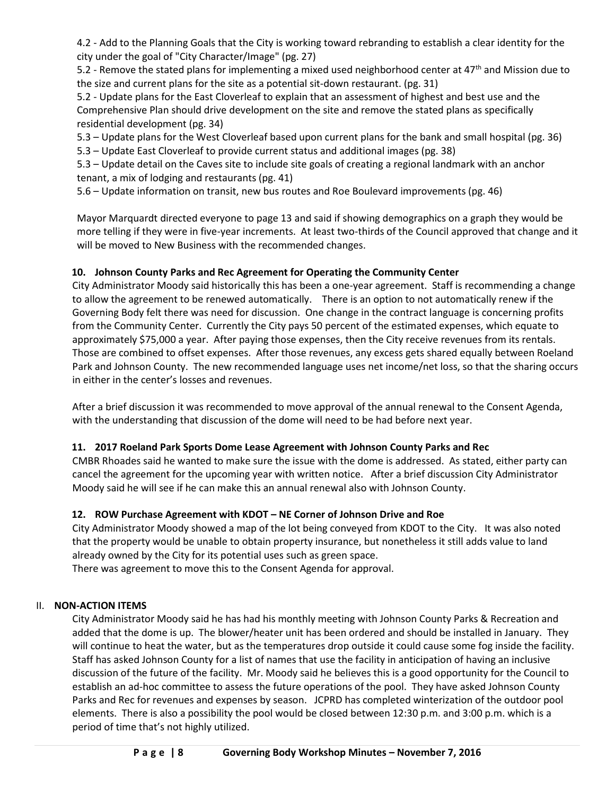4.2 - Add to the Planning Goals that the City is working toward rebranding to establish a clear identity for the city under the goal of "City Character/Image" (pg. 27)

5.2 - Remove the stated plans for implementing a mixed used neighborhood center at 47<sup>th</sup> and Mission due to the size and current plans for the site as a potential sit-down restaurant. (pg. 31)

5.2 - Update plans for the East Cloverleaf to explain that an assessment of highest and best use and the Comprehensive Plan should drive development on the site and remove the stated plans as specifically residential development (pg. 34)

5.3 – Update plans for the West Cloverleaf based upon current plans for the bank and small hospital (pg. 36) 5.3 – Update East Cloverleaf to provide current status and additional images (pg. 38)

5.3 – Update detail on the Caves site to include site goals of creating a regional landmark with an anchor tenant, a mix of lodging and restaurants (pg. 41)

5.6 – Update information on transit, new bus routes and Roe Boulevard improvements (pg. 46)

Mayor Marquardt directed everyone to page 13 and said if showing demographics on a graph they would be more telling if they were in five-year increments. At least two-thirds of the Council approved that change and it will be moved to New Business with the recommended changes.

# **10. Johnson County Parks and Rec Agreement for Operating the Community Center**

City Administrator Moody said historically this has been a one-year agreement. Staff is recommending a change to allow the agreement to be renewed automatically. There is an option to not automatically renew if the Governing Body felt there was need for discussion. One change in the contract language is concerning profits from the Community Center. Currently the City pays 50 percent of the estimated expenses, which equate to approximately \$75,000 a year. After paying those expenses, then the City receive revenues from its rentals. Those are combined to offset expenses. After those revenues, any excess gets shared equally between Roeland Park and Johnson County. The new recommended language uses net income/net loss, so that the sharing occurs in either in the center's losses and revenues.

After a brief discussion it was recommended to move approval of the annual renewal to the Consent Agenda, with the understanding that discussion of the dome will need to be had before next year.

# **11. 2017 Roeland Park Sports Dome Lease Agreement with Johnson County Parks and Rec**

CMBR Rhoades said he wanted to make sure the issue with the dome is addressed. As stated, either party can cancel the agreement for the upcoming year with written notice. After a brief discussion City Administrator Moody said he will see if he can make this an annual renewal also with Johnson County.

# **12. ROW Purchase Agreement with KDOT – NE Corner of Johnson Drive and Roe**

City Administrator Moody showed a map of the lot being conveyed from KDOT to the City. It was also noted that the property would be unable to obtain property insurance, but nonetheless it still adds value to land already owned by the City for its potential uses such as green space.

There was agreement to move this to the Consent Agenda for approval.

## II. **NON-ACTION ITEMS**

City Administrator Moody said he has had his monthly meeting with Johnson County Parks & Recreation and added that the dome is up. The blower/heater unit has been ordered and should be installed in January. They will continue to heat the water, but as the temperatures drop outside it could cause some fog inside the facility. Staff has asked Johnson County for a list of names that use the facility in anticipation of having an inclusive discussion of the future of the facility. Mr. Moody said he believes this is a good opportunity for the Council to establish an ad-hoc committee to assess the future operations of the pool. They have asked Johnson County Parks and Rec for revenues and expenses by season. JCPRD has completed winterization of the outdoor pool elements. There is also a possibility the pool would be closed between 12:30 p.m. and 3:00 p.m. which is a period of time that's not highly utilized.